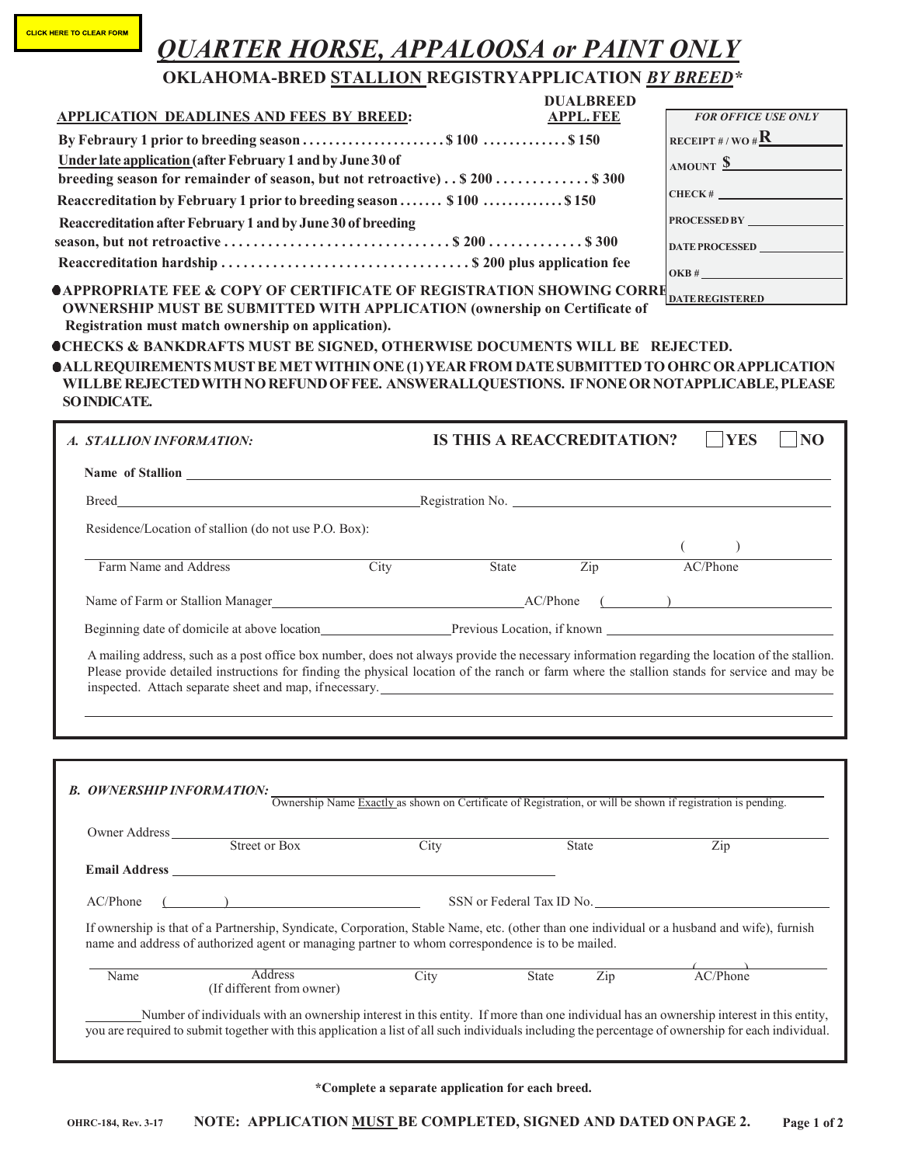|  | <b>CLICK HERE TO CLEAR FORM</b> |  |
|--|---------------------------------|--|
|  |                                 |  |

## *QUARTER HORSE, APPALOOSA or PAINT ONLY*

## **OKLAHOMA-BRED STALLION REGISTRYAPPLICATION** *BY BREED\**

|                                                                                                                                                                                                                          | <b>DUALBREED</b>                  |                               |
|--------------------------------------------------------------------------------------------------------------------------------------------------------------------------------------------------------------------------|-----------------------------------|-------------------------------|
| <b>APPLICATION DEADLINES AND FEES BY BREED:</b>                                                                                                                                                                          | <b>APPL.FEE</b>                   | <b>FOR OFFICE USE ONLY</b>    |
|                                                                                                                                                                                                                          |                                   | RECEIPT#/WO# $\mathbf{R}$     |
| Under late application (after February 1 and by June 30 of                                                                                                                                                               |                                   | AMOUNT <u>\$</u>              |
| breeding season for remainder of season, but not retroactive) \$200 \$300                                                                                                                                                |                                   |                               |
| Reaccreditation by February 1 prior to breeding season  \$100  \$150                                                                                                                                                     |                                   | $CHECK$ # $\qquad$            |
| Reaccreditation after February 1 and by June 30 of breeding                                                                                                                                                              |                                   | PROCESSED BY                  |
|                                                                                                                                                                                                                          |                                   | DATE PROCESSED                |
|                                                                                                                                                                                                                          |                                   |                               |
| <b>OAPPROPRIATE FEE &amp; COPY OF CERTIFICATE OF REGISTRATION SHOWING CORRE</b><br><b>OWNERSHIP MUST BE SUBMITTED WITH APPLICATION (ownership on Certificate of</b>                                                      |                                   | <b>DATEREGISTERED</b>         |
| Registration must match ownership on application).<br><b>OCHECKS &amp; BANKDRAFTS MUST BE SIGNED, OTHERWISE DOCUMENTS WILL BE REJECTED.</b>                                                                              |                                   |                               |
| <b>OALL REQUIREMENTS MUST BE MET WITHIN ONE (1) YEAR FROM DATE SUBMITTED TO OHRC OR APPLICATION</b><br>WILLBE REJECTED WITH NO REFUND OF FEE. ANSWERALLQUESTIONS. IF NONE OR NOTAPPLICABLE, PLEASE<br><b>SOINDICATE.</b> |                                   |                               |
| A. STALLION INFORMATION:                                                                                                                                                                                                 | <b>IS THIS A REACCREDITATION?</b> | <b>YES</b><br>$\overline{NQ}$ |
| Name of Stallion Name of Stallion                                                                                                                                                                                        |                                   |                               |
|                                                                                                                                                                                                                          |                                   |                               |
| Residence/Location of stallion (do not use P.O. Box):                                                                                                                                                                    |                                   |                               |

Name of Farm or Stallion Manager AC/Phone

Beginning date of domicile at above location Previous Location, if known

A mailing address, such as a post office box number, does not always provide the necessary information regarding the location of the stallion. Please provide detailed instructions for finding the physical location of the ranch or farm where the stallion stands for service and may be inspected. Attach separate sheet and map, ifnecessary.

**B.** OWNERSHIP INFORMATION: Ownership Name Exactly as shown on Certificate of Registration, or will be shown if registration is pending. Owner Address Street or Box City State Zip **Email Address** AC/Phone ( ) SSN or Federal Tax ID No. If ownership is that of a Partnership, Syndicate, Corporation, Stable Name, etc. (other than one individual or a husband and wife), furnish name and address of authorized agent or managing partner to whom correspondence is to be mailed. Name Address City State Zip AC/Phone (If different from owner) City State Zip AC/Phone Number of individuals with an ownership interest in this entity. If more than one individual has an ownership interest in this entity, you are required to submit together with this application a list of all such individuals including the percentage of ownership for each individual.

**\*Complete a separate application for each breed.**